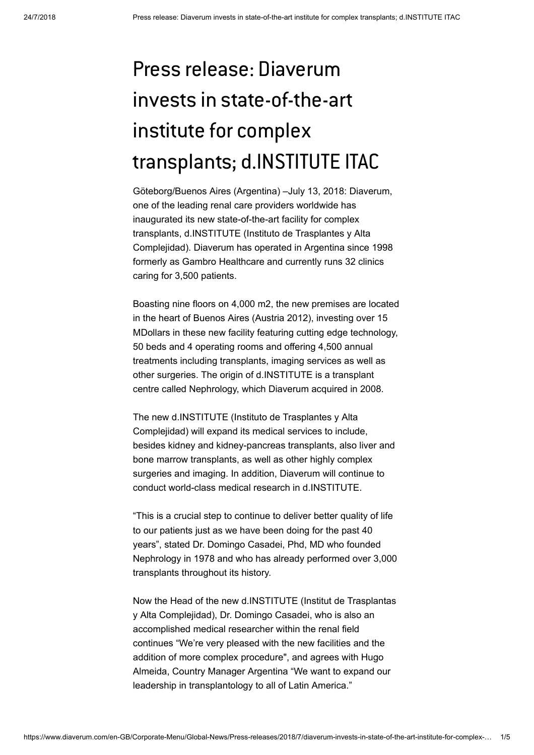# Press release: Diaverum invests in state-of-the-art institute for complex transplants; d.INSTITUTE ITAC

Göteborg/Buenos Aires (Argentina) –July 13, 2018: Diaverum, one of the leading renal care providers worldwide has inaugurated its new state-of-the-art facility for complex transplants, d.INSTITUTE (Instituto de Trasplantes y Alta Complejidad). Diaverum has operated in Argentina since 1998 formerly as Gambro Healthcare and currently runs 32 clinics caring for 3,500 patients.

Boasting nine floors on 4,000 m2, the new premises are located in the heart of Buenos Aires (Austria 2012), investing over 15 MDollars in these new facility featuring cutting edge technology, 50 beds and 4 operating rooms and offering 4,500 annual treatments including transplants, imaging services as well as other surgeries. The origin of d.INSTITUTE is a transplant centre called Nephrology, which Diaverum acquired in 2008.

The new d.INSTITUTE (Instituto de Trasplantes y Alta Complejidad) will expand its medical services to include, besides kidney and kidney-pancreas transplants, also liver and bone marrow transplants, as well as other highly complex surgeries and imaging. In addition, Diaverum will continue to conduct world-class medical research in d.INSTITUTE.

"This is a crucial step to continue to deliver better quality of life to our patients just as we have been doing for the past 40 years", stated Dr. Domingo Casadei, Phd, MD who founded Nephrology in 1978 and who has already performed over 3,000 transplants throughout its history.

Now the Head of the new d.INSTITUTE (Institut de Trasplantas y Alta Complejidad), Dr. Domingo Casadei, who is also an accomplished medical researcher within the renal field continues "We're very pleased with the new facilities and the addition of more complex procedure", and agrees with Hugo Almeida, Country Manager Argentina "We want to expand our leadership in transplantology to all of Latin America."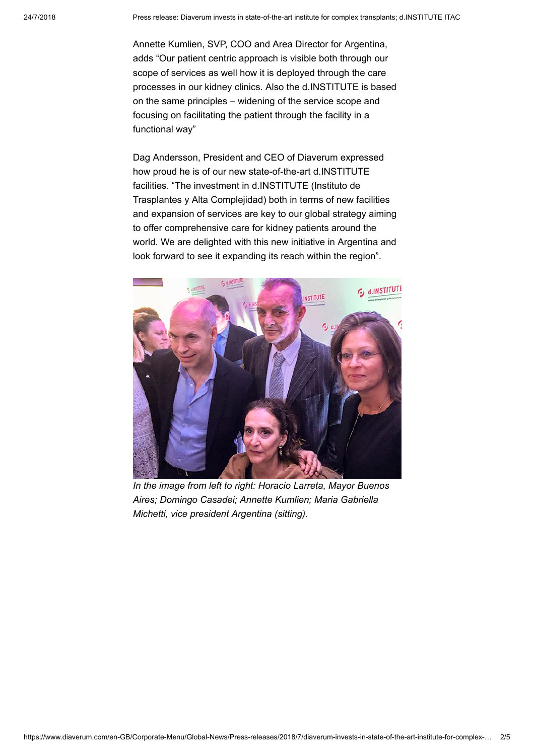Annette Kumlien, SVP, COO and Area Director for Argentina, adds "Our patient centric approach is visible both through our scope of services as well how it is deployed through the care processes in our kidney clinics. Also the d.INSTITUTE is based on the same principles – widening of the service scope and focusing on facilitating the patient through the facility in a functional way"

Dag Andersson, President and CEO of Diaverum expressed how proud he is of our new state-of-the-art d.INSTITUTE facilities. "The investment in d.INSTITUTE (Instituto de Trasplantes y Alta Complejidad) both in terms of new facilities and expansion of services are key to our global strategy aiming to offer comprehensive care for kidney patients around the world. We are delighted with this new initiative in Argentina and look forward to see it expanding its reach within the region".



*In the image from left to right: Horacio Larreta, Mayor Buenos Aires; Domingo Casadei; Annette Kumlien; Maria Gabriella Michetti, vice president Argentina (sitting).*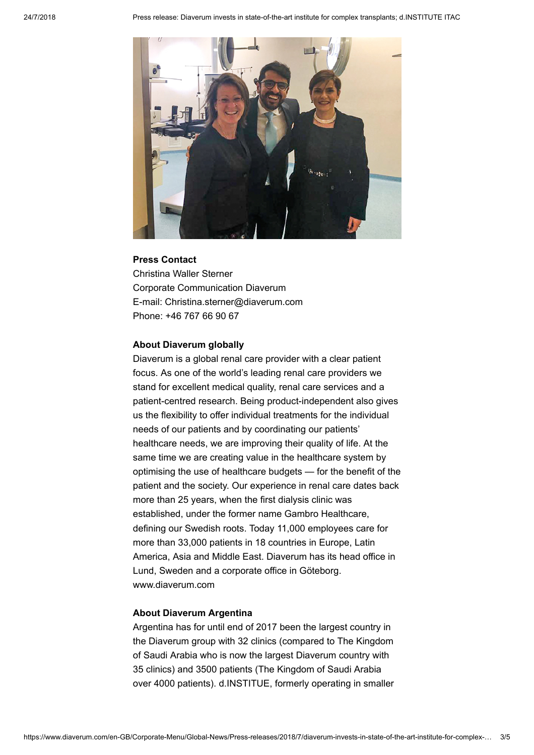24/7/2018 Press release: Diaverum invests in state-of-the-art institute for complex transplants; d.INSTITUTE ITAC



## **Press Contact**

Christina Waller Sterner Corporate Communication Diaverum E-mail: Christina.sterner@diaverum.com Phone: +46 767 66 90 67

#### **About Diaverum globally**

Diaverum is a global renal care provider with a clear patient focus. As one of the world's leading renal care providers we stand for excellent medical quality, renal care services and a patient-centred research. Being product-independent also gives us the flexibility to offer individual treatments for the individual needs of our patients and by coordinating our patients' healthcare needs, we are improving their quality of life. At the same time we are creating value in the healthcare system by optimising the use of healthcare budgets — for the benefit of the patient and the society. Our experience in renal care dates back more than 25 years, when the first dialysis clinic was established, under the former name Gambro Healthcare, defining our Swedish roots. Today 11,000 employees care for more than 33,000 patients in 18 countries in Europe, Latin America, Asia and Middle East. Diaverum has its head office in Lund, Sweden and a corporate office in Göteborg. www.diaverum.com

## **About Diaverum Argentina**

Argentina has for until end of 2017 been the largest country in the Diaverum group with 32 clinics (compared to The Kingdom of Saudi Arabia who is now the largest Diaverum country with 35 clinics) and 3500 patients (The Kingdom of Saudi Arabia over 4000 patients). d.INSTITUE, formerly operating in smaller